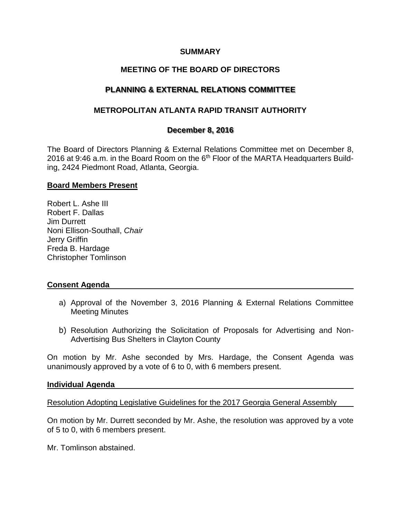## **SUMMARY**

# **MEETING OF THE BOARD OF DIRECTORS**

# **PLANNING & EXTERNAL RELATIONS COMMITTEE**

## **METROPOLITAN ATLANTA RAPID TRANSIT AUTHORITY**

### **December 8, 2016**

The Board of Directors Planning & External Relations Committee met on December 8, 2016 at 9:46 a.m. in the Board Room on the  $6<sup>th</sup>$  Floor of the MARTA Headquarters Building, 2424 Piedmont Road, Atlanta, Georgia.

### **Board Members Present**

Robert L. Ashe III Robert F. Dallas Jim Durrett Noni Ellison-Southall, *Chair* Jerry Griffin Freda B. Hardage Christopher Tomlinson

### **Consent Agenda**

- a) Approval of the November 3, 2016 Planning & External Relations Committee Meeting Minutes
- b) Resolution Authorizing the Solicitation of Proposals for Advertising and Non-Advertising Bus Shelters in Clayton County

On motion by Mr. Ashe seconded by Mrs. Hardage, the Consent Agenda was unanimously approved by a vote of 6 to 0, with 6 members present.

#### **Individual Agenda**

Resolution Adopting Legislative Guidelines for the 2017 Georgia General Assembly

On motion by Mr. Durrett seconded by Mr. Ashe, the resolution was approved by a vote of 5 to 0, with 6 members present.

Mr. Tomlinson abstained.